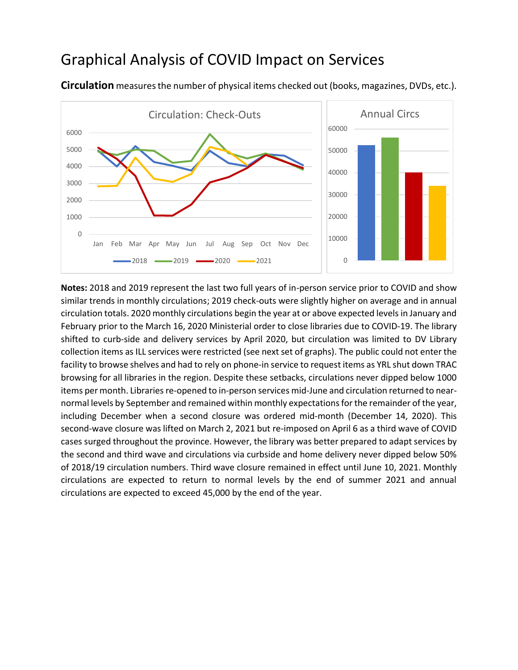## Graphical Analysis of COVID Impact on Services



**Circulation** measures the number of physical items checked out (books, magazines, DVDs, etc.).

**Notes:** 2018 and 2019 represent the last two full years of in-person service prior to COVID and show similar trends in monthly circulations; 2019 check-outs were slightly higher on average and in annual circulation totals. 2020 monthly circulations begin the year at or above expected levels in January and February prior to the March 16, 2020 Ministerial order to close libraries due to COVID-19. The library shifted to curb-side and delivery services by April 2020, but circulation was limited to DV Library collection items as ILL services were restricted (see next set of graphs). The public could not enter the facility to browse shelves and had to rely on phone-in service to request items as YRL shut down TRAC browsing for all libraries in the region. Despite these setbacks, circulations never dipped below 1000 items per month. Libraries re-opened to in-person services mid-June and circulation returned to nearnormal levels by September and remained within monthly expectations for the remainder of the year, including December when a second closure was ordered mid-month (December 14, 2020). This second-wave closure was lifted on March 2, 2021 but re-imposed on April 6 as a third wave of COVID cases surged throughout the province. However, the library was better prepared to adapt services by the second and third wave and circulations via curbside and home delivery never dipped below 50% of 2018/19 circulation numbers. Third wave closure remained in effect until June 10, 2021. Monthly circulations are expected to return to normal levels by the end of summer 2021 and annual circulations are expected to exceed 45,000 by the end of the year.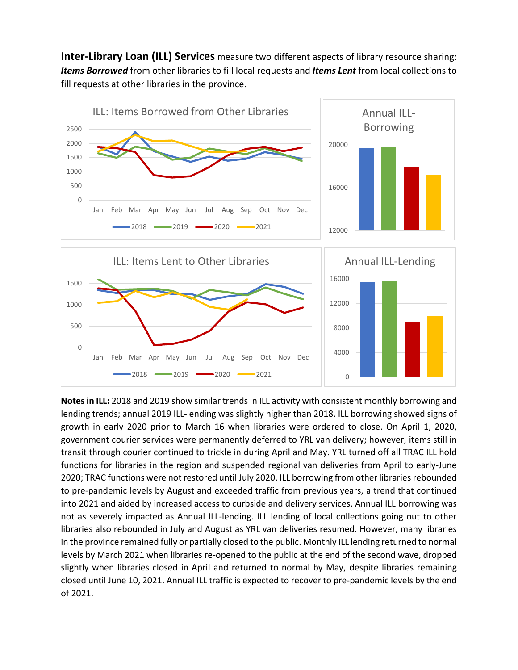**Inter-Library Loan (ILL) Services** measure two different aspects of library resource sharing: *Items Borrowed* from other libraries to fill local requests and *Items Lent* from local collections to fill requests at other libraries in the province.



**Notesin ILL:** 2018 and 2019 show similar trends in ILL activity with consistent monthly borrowing and lending trends; annual 2019 ILL-lending was slightly higher than 2018. ILL borrowing showed signs of growth in early 2020 prior to March 16 when libraries were ordered to close. On April 1, 2020, government courier services were permanently deferred to YRL van delivery; however, items still in transit through courier continued to trickle in during April and May. YRL turned off all TRAC ILL hold functions for libraries in the region and suspended regional van deliveries from April to early-June 2020; TRAC functions were not restored until July 2020. ILL borrowing from other libraries rebounded to pre-pandemic levels by August and exceeded traffic from previous years, a trend that continued into 2021 and aided by increased access to curbside and delivery services. Annual ILL borrowing was not as severely impacted as Annual ILL-lending. ILL lending of local collections going out to other libraries also rebounded in July and August as YRL van deliveries resumed. However, many libraries in the province remained fully or partially closed to the public. Monthly ILL lending returned to normal levels by March 2021 when libraries re-opened to the public at the end of the second wave, dropped slightly when libraries closed in April and returned to normal by May, despite libraries remaining closed until June 10, 2021. Annual ILL traffic is expected to recover to pre-pandemic levels by the end of 2021.

2018 2019 2020 2021  $\begin{array}{|c|c|c|c|c|c|}\n\hline\n & 2018 & 2019 & 2020 & 2021 & 0\n\end{array}$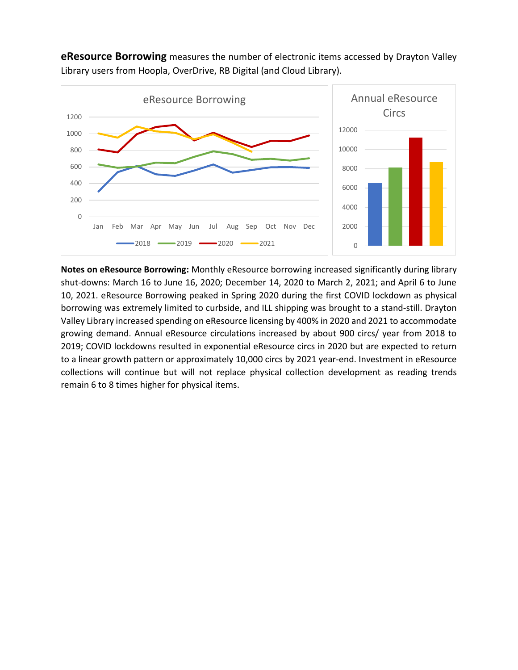

**eResource Borrowing** measures the number of electronic items accessed by Drayton Valley Library users from Hoopla, OverDrive, RB Digital (and Cloud Library).

**Notes on eResource Borrowing:** Monthly eResource borrowing increased significantly during library shut-downs: March 16 to June 16, 2020; December 14, 2020 to March 2, 2021; and April 6 to June 10, 2021. eResource Borrowing peaked in Spring 2020 during the first COVID lockdown as physical borrowing was extremely limited to curbside, and ILL shipping was brought to a stand-still. Drayton Valley Library increased spending on eResource licensing by 400% in 2020 and 2021 to accommodate growing demand. Annual eResource circulations increased by about 900 circs/ year from 2018 to 2019; COVID lockdowns resulted in exponential eResource circs in 2020 but are expected to return to a linear growth pattern or approximately 10,000 circs by 2021 year-end. Investment in eResource collections will continue but will not replace physical collection development as reading trends remain 6 to 8 times higher for physical items.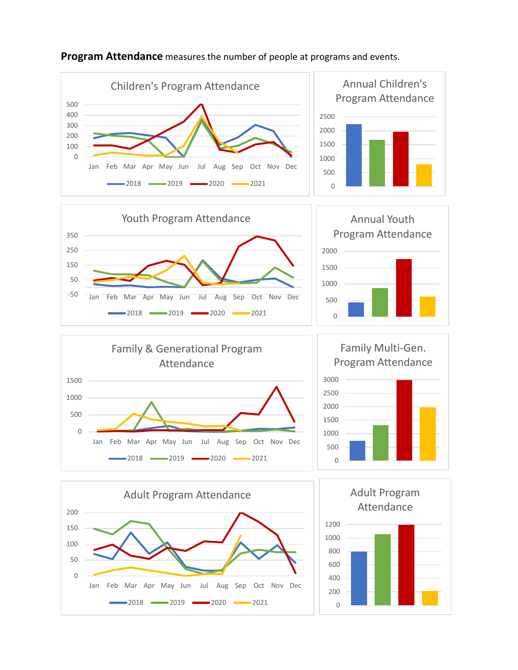

## **Program Attendance** measures the number of people at programs and events.















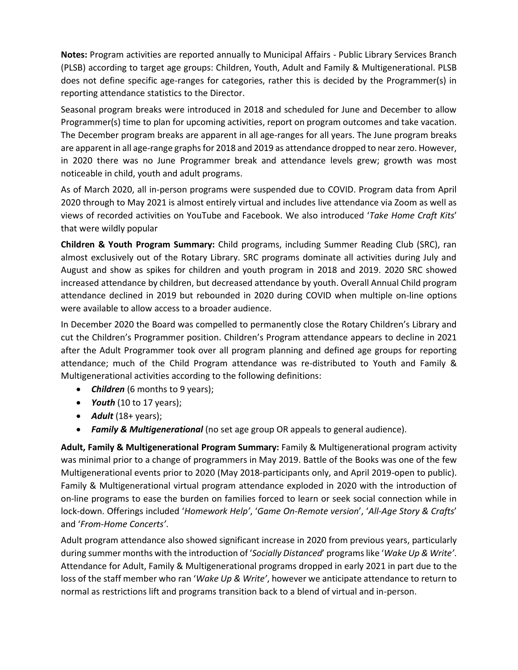**Notes:** Program activities are reported annually to Municipal Affairs - Public Library Services Branch (PLSB) according to target age groups: Children, Youth, Adult and Family & Multigenerational. PLSB does not define specific age-ranges for categories, rather this is decided by the Programmer(s) in reporting attendance statistics to the Director.

Seasonal program breaks were introduced in 2018 and scheduled for June and December to allow Programmer(s) time to plan for upcoming activities, report on program outcomes and take vacation. The December program breaks are apparent in all age-ranges for all years. The June program breaks are apparent in all age-range graphs for 2018 and 2019 as attendance dropped to near zero. However, in 2020 there was no June Programmer break and attendance levels grew; growth was most noticeable in child, youth and adult programs.

As of March 2020, all in-person programs were suspended due to COVID. Program data from April 2020 through to May 2021 is almost entirely virtual and includes live attendance via Zoom as well as views of recorded activities on YouTube and Facebook. We also introduced '*Take Home Craft Kits*' that were wildly popular

**Children & Youth Program Summary:** Child programs, including Summer Reading Club (SRC), ran almost exclusively out of the Rotary Library. SRC programs dominate all activities during July and August and show as spikes for children and youth program in 2018 and 2019. 2020 SRC showed increased attendance by children, but decreased attendance by youth. Overall Annual Child program attendance declined in 2019 but rebounded in 2020 during COVID when multiple on-line options were available to allow access to a broader audience.

In December 2020 the Board was compelled to permanently close the Rotary Children's Library and cut the Children's Programmer position. Children's Program attendance appears to decline in 2021 after the Adult Programmer took over all program planning and defined age groups for reporting attendance; much of the Child Program attendance was re-distributed to Youth and Family & Multigenerational activities according to the following definitions:

- *Children* (6 months to 9 years);
- *Youth* (10 to 17 years);
- *Adult* (18+ years);
- *Family & Multigenerational* (no set age group OR appeals to general audience).

**Adult, Family & Multigenerational Program Summary:** Family & Multigenerational program activity was minimal prior to a change of programmers in May 2019. Battle of the Books was one of the few Multigenerational events prior to 2020 (May 2018-participants only, and April 2019-open to public). Family & Multigenerational virtual program attendance exploded in 2020 with the introduction of on-line programs to ease the burden on families forced to learn or seek social connection while in lock-down. Offerings included '*Homework Help'*, '*Game On*-*Remote version*', '*All-Age Story & Crafts*' and '*From-Home Concerts'*.

Adult program attendance also showed significant increase in 2020 from previous years, particularly during summer months with the introduction of '*Socially Distanced*' programslike '*Wake Up & Write'*. Attendance for Adult, Family & Multigenerational programs dropped in early 2021 in part due to the loss of the staff member who ran '*Wake Up & Write'*, however we anticipate attendance to return to normal as restrictions lift and programs transition back to a blend of virtual and in-person.